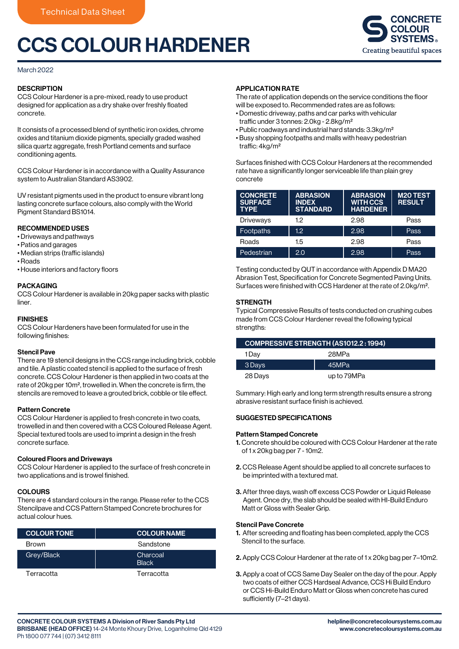# CCS COLOUR HARDENER



#### March 2022

# **DESCRIPTION**

CCS Colour Hardener is a pre-mixed, ready to use product designed for application as a dry shake over freshly floated concrete.

It consists of a processed blend of synthetic iron oxides, chrome oxides and titanium dioxide pigments, specially graded washed silica quartz aggregate, fresh Portland cements and surface conditioning agents.

CCS Colour Hardener is in accordance with a Quality Assurance system to Australian Standard AS3902.

UV resistant pigments used in the product to ensure vibrant long lasting concrete surface colours, also comply with the World Pigment Standard BS1014.

#### RECOMMENDED USES

- Driveways and pathways
- Patios and garages
- Median strips (traffic islands)
- Roads
- House interiors and factory floors

#### PACKAGING

CCS Colour Hardener is available in 20kg paper sacks with plastic liner.

### FINISHES

CCS Colour Hardeners have been formulated for use in the following finishes:

#### Stencil Pave

There are 19 stencil designs in the CCS range including brick, cobble and tile. A plastic coated stencil is applied to the surface of fresh concrete. CCS Colour Hardener is then applied in two coats at the rate of 20kg per 10m², trowelled in. When the concrete is firm, the stencils are removed to leave a grouted brick, cobble or tile effect.

#### Pattern Concrete

CCS Colour Hardener is applied to fresh concrete in two coats, trowelled in and then covered with a CCS Coloured Release Agent. Special textured tools are used to imprint a design in the fresh concrete surface.

#### Coloured Floors and Driveways

CCS Colour Hardener is applied to the surface of fresh concrete in two applications and is trowel finished.

#### **COLOURS**

There are 4 standard colours in the range. Please refer to the CCS Stencilpave and CCS Pattern Stamped Concrete brochures for actual colour hues.

| <b>COLOUR TONE</b> | <b>COLOUR NAME</b>       |
|--------------------|--------------------------|
| <b>Brown</b>       | Sandstone                |
| Grey/Black         | Charcoal<br><b>Black</b> |
| Terracotta         | Terracotta               |

#### APPLICATION RATE

The rate of application depends on the service conditions the floor will be exposed to. Recommended rates are as follows:

- Domestic driveway, paths and car parks with vehicular traffic under 3 tonnes: 2.0kg - 2.8kg/m<sup>2</sup>
- Public roadways and industrial hard stands: 3.3kg/m²
- Busy shopping footpaths and malls with heavy pedestrian traffic: 4kg/m<sup>2</sup>

Surfaces finished with CCS Colour Hardeners at the recommended rate have a significantly longer serviceable life than plain grey concrete

| <b>CONCRETE</b><br><b>SURFACE</b><br><b>TYPE</b> | <b>ABRASION</b><br><b>INDEX</b><br><b>STANDARD</b> | <b>ABRASION</b><br><b>WITH CCS</b><br><b>HARDENER</b> | <b>M20 TEST</b><br><b>RESULT</b> |
|--------------------------------------------------|----------------------------------------------------|-------------------------------------------------------|----------------------------------|
| Driveways                                        | 12                                                 | 2.98                                                  | Pass                             |
| <b>Footpaths</b>                                 | 1.2 <sub>2</sub>                                   | 2.98                                                  | Pass                             |
| Roads                                            | 1.5                                                | 2.98                                                  | Pass                             |
| Pedestrian                                       | 2.0                                                | 2.98                                                  | Pass                             |

Testing conducted by QUT in accordance with Appendix D MA20 Abrasion Test, Specification for Concrete Segmented Paving Units. Surfaces were finished with CCS Hardener at the rate of 2.0kg/m².

#### **STRENGTH**

Typical Compressive Results of tests conducted on crushing cubes made from CCS Colour Hardener reveal the following typical strengths:

| <b>COMPRESSIVE STRENGTH (AS1012.2:1994)</b> |             |  |
|---------------------------------------------|-------------|--|
| 1Dav                                        | 28MPa       |  |
| 3 Days                                      | 45MPa       |  |
| 28 Days                                     | up to 79MPa |  |

Summary: High early and long term strength results ensure a strong abrasive resistant surface finish is achieved.

# SUGGESTED SPECIFICATIONS

#### Pattern Stamped Concrete

- 1. Concrete should be coloured with CCS Colour Hardener at the rate of 1 x 20kg bag per 7 - 10m2.
- 2. CCS Release Agent should be applied to all concrete surfaces to be imprinted with a textured mat.
- 3. After three days, wash off excess CCS Powder or Liquid Release Agent. Once dry, the slab should be sealed with HI-Build Enduro Matt or Gloss with Sealer Grip.

#### Stencil Pave Concrete

- 1. After screeding and floating has been completed, apply the CCS Stencil to the surface.
- 2. Apply CCS Colour Hardener at the rate of 1 x 20kg bag per 7–10m2.
- 3. Apply a coat of CCS Same Day Sealer on the day of the pour. Apply two coats of either CCS Hardseal Advance, CCS Hi Build Enduro or CCS Hi-Build Enduro Matt or Gloss when concrete has cured sufficiently (7–21 days).